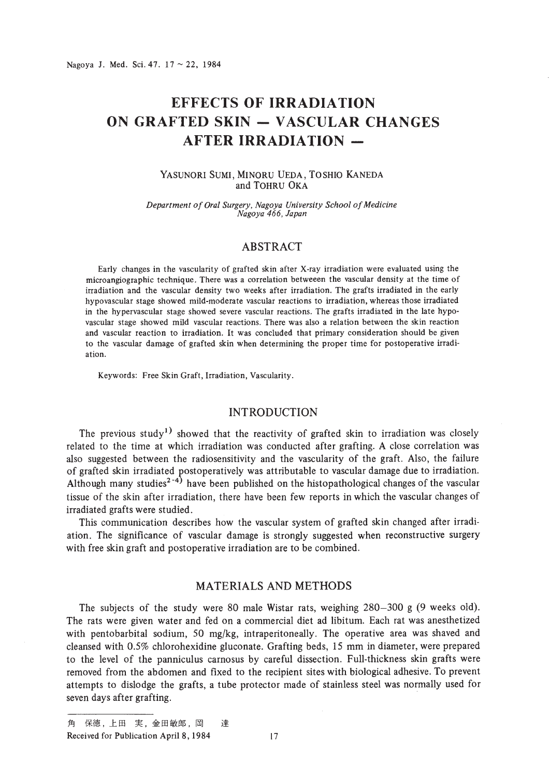# **EFFECTS OF IRRADIATION ON GRAFTED SKIN - VASCULAR CHANGES AFTER IRRADIATION -**

#### YASUNORI SUMI, MINORU UEDA, TOSHIO KANEDA and TOHRU OKA

*Department of Oral Surgery, Nagoya University School of Medicine Nagoya* 466, *Japan*

# ABSTRACT

Early changes in the vascularity of grafted skin after X-ray irradiation were evaluated using the microangiographic technique. There was a correlation betweeen the vascular density at the time of irradiation and the vascular density two weeks after irradiation. The grafts irradiated in the early hypovascular stage showed mild-moderate vascular reactions to irradiation, whereas those irradiated in the hypervascular stage showed severe vascular reactions. The grafts irradiated in the late hypovascular stage showed mild vascular reactions. There was also a relation between the skin reaction and vascular reaction to irradiation. It was concluded that primary consideration should be given to the vascular damage of grafted skin when determining the proper time for postoperative irradiation.

Keywords: Free Skin Graft, Irradiation, Vascularity.

### INTRODUCTION

The previous study<sup>1)</sup> showed that the reactivity of grafted skin to irradiation was closely related to the time at which irradiation was conducted after grafting. A close correlation was also suggested between the radiosensitivity and the vascularity of the graft. Also, the failure of grafted skin irradiated )ostoperatively was attributable to vascular damage due to irradiation. Although many studies<sup>2-4)</sup> have been published on the histopathological changes of the vascular tissue of the skin after irradiation, there have been few reports in which the vascular changes of irradiated grafts were studied.

This communication describes how the vascular system of grafted skin changed after irradiation. The significance of vascular damage is strongly suggested when reconstructive surgery with free skin graft and postoperative irradiation are to be combined.

#### MATERIALS AND METHODS

The subjects of the study were 80 male Wistar rats, weighing 280-300 g (9 weeks old). The rats were given water and fed on a commercial diet ad libitum. Each rat was anesthetized with pentobarbital sodium, 50 mg/kg, intraperitoneally. The operative area was shaved and cleansed with 0.5% chlorohexidine gluconate. Grafting beds, 15 mm in diameter, were prepared to the level of the panniculus carnosus by careful dissection. Full-thickness skin grafts were removed from the abdomen and fixed to the recipient sites with biological adhesive. To prevent attempts to dislodge the grafts, a tube protector made of stainless steel was normally used for seven days after grafting. .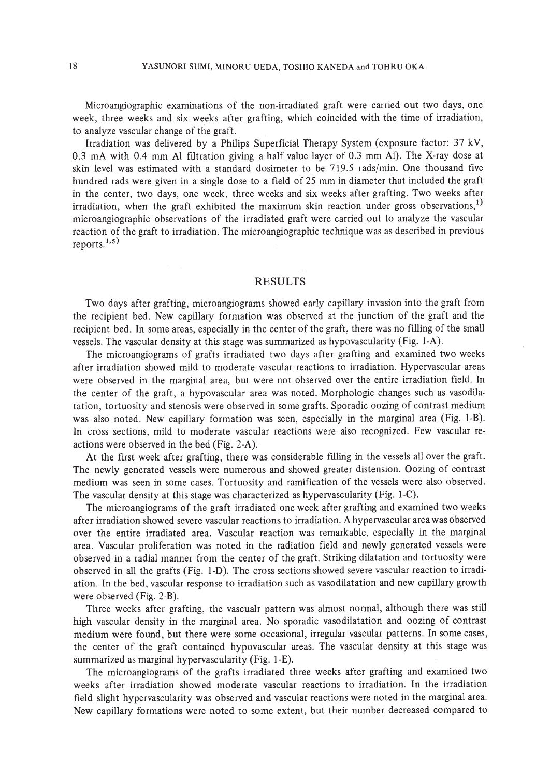Microangiographic examinations of the non-irradiated graft were carried out two days, one week, three weeks and six weeks after grafting, which coincided with the time of irradiation, to analyze vascular change of the graft.

Irradiation was delivered by a Philips Superficial Therapy System (exposure factor: 37 kV, 0.3 rnA with 0.4 mm Al filtration giving a half value layer of 0.3 mm AI). The X-ray dose at skin level was estimated with a standard dosimeter to be 719.5 rads/min. One thousand five hundred rads were given in a single dose to a field of 25 mm in diameter that included the graft in the center, two days, one week, three weeks and six weeks after grafting. Two weeks after irradiation, when the graft exhibited the maximum skin reaction under gross observations,<sup>1)</sup> microangiographic observations of the irradiated graft were carried out to analyze the vascular reaction of the graft to irradiation. The microangiographic technique was as described in previous reports. $1, 5$ 

# RESULTS

Two days after grafting, microangiograms showed early capillary invasion into the graft from the recipient bed. New capillary formation was observed at the junction of the graft and the recipient bed. In some areas, especially in the center of the graft, there was no filling of the small vessels. The vascular density at this stage was summarized as hypovascularity (Fig. I-A).

The microangiograms of grafts irradiated two days after grafting and examined two weeks after irradiation showed mild to moderate vascular reactions to irradiation. Hypervascular areas were observed in the marginal area, but were not observed over the entire irradiation field. In the center of the graft, a hypovascular area was noted. Morphologic changes such as vasodilatation, tortuosity and stenosis were observed in some grafts. Sporadic oozing of contrast medium was also noted. New capillary formation was seen, especially in the marginal area (Fig. I-B). In cross sections, mild to moderate vascular reactions were also recognized. Few vascular reactions were observed in the bed (Fig. 2-A).

At the first week after grafting, there was considerable flliing in the vessels all over the graft. The newly generated vessels were numerous and showed greater distension. Oozing of contrast medium was seen in some cases. Tortuosity and ramification of the vessels were also observed. The vascular density at this stage was characterized as hypervascularity (Fig. I-C).

The microangiograms of the graft irradiated one week after grafting and examined two weeks after irradiation showed severe vascular reactions to irradiation. A hypervascular area was observed over the entire irradiated area. Vascular reaction was remarkable, especially in the marginal area. Vascular proliferation was noted in the radiation field and newly generated vessels were observed in a radial manner from the center of the graft. Striking dilatation and tortuosity were observed in all the grafts (Fig. I-D). The cross sections showed severe vascular reaction to irradiation. In the bed, vascular response to irradiation such as vasodilatation and new capillary growth were observed (Fig. 2-B).

Three weeks after grafting, the vascualr pattern was almost normal, although there was still high vascular density in the marginal area. No sporadic vasodilatation and oozing of contrast medium were found, but there were some occasional, irregular vascular patterns. In some cases, the center of the graft contained hypovascular areas. The vascular density at this stage was summarized as marginal hypervascularity (Fig. I-E).

The microangiograms of the grafts irradiated three weeks after grafting and examined two weeks after irradiation showed moderate vascular reactions to irradiation. In the irradiation field slight hypervascularity was observed and vascular reactions were noted in the marginal area. New capillary formations were noted to some extent, but their number decreased compared to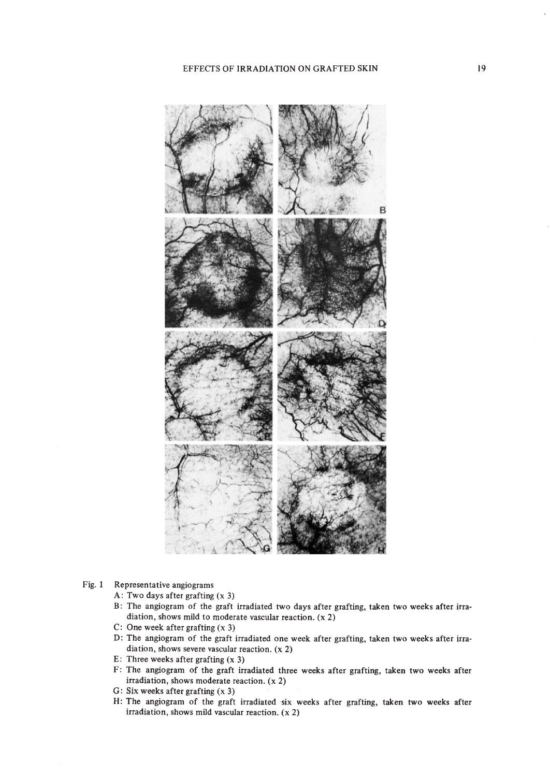

#### Fig. I Representative angiograms

- A: Two days after grafting (x 3)
- B: The angiogram of the graft irradiated two days after grafting, taken two weeks after irradiation, shows mild to moderate vascular reaction. (x 2)
- C: One week after grafting (x 3)
- D: The angiogram of the graft irradiated one week after grafting, taken two weeks after irradiation, shows severe vascular reaction. (x 2)
- E: Three weeks after grafting (x 3)
- F: The angiogram of the graft irradiated three weeks after grafting, taken two weeks after irradiation, shows moderate reaction. (x 2)
- G: Six weeks after grafting (x 3)
- H: The angiogram of the graft irradiated six weeks after grafting, taken two weeks after irradiation, shows mild vascular reaction. (x 2)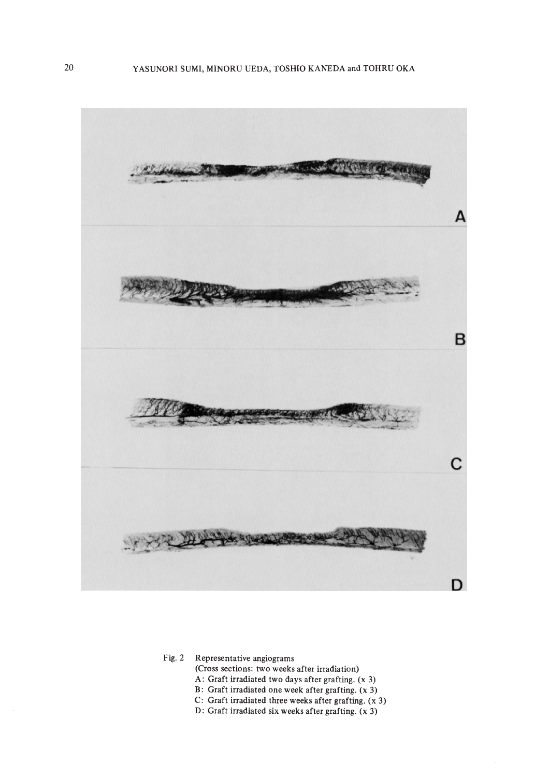

Fig. 2 Representative angiograms

(Cross sections: two weeks after irradiation)

- A: Graft irradiated two days after grafting. (x 3)
- B: Graft irradiated one week after grafting. (x 3)
- C: Graft irradiated three weeks after grafting. (x 3)
- D: Graft irradiated six weeks after grafting. (x 3)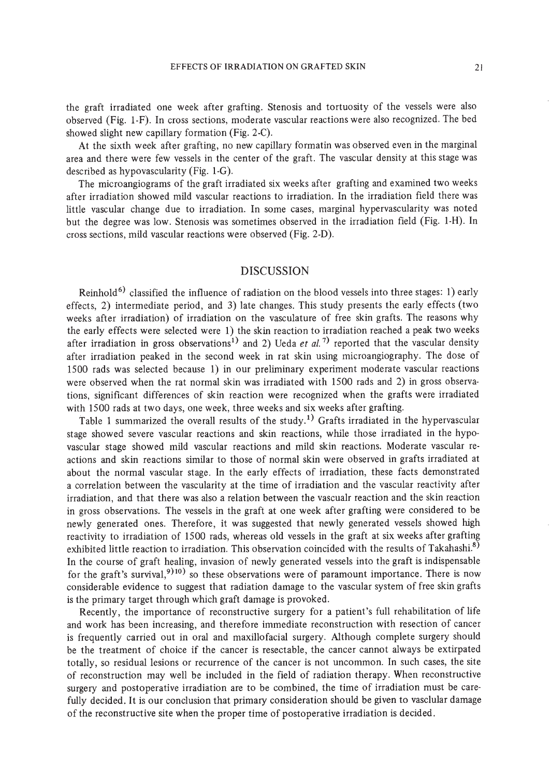the graft irradiated one week after grafting. Stenosis and tortuosity of the vessels were also observed (Fig. I-F). In cross sections, moderate vascular reactions were also recognized. The bed showed slight new capillary formation (Fig. 2-C).

At the sixth week after grafting, no new capillary formatin was observed even in the marginal area and there were few vessels in the center of the graft. The vascular density at this stage was described as hypovascularity (Fig. I-G).

The microangiograms of the graft irradiated six weeks after grafting and examined two weeks after irradiation showed mild vascular reactions to irradiation. In the irradiation field there was little vascular change due to irradiation. In some cases, marginal hypervascularity was noted but the degree was low. Stenosis was sometimes observed in the irradiation field (Fig. I-H). In cross sections, mild vascular reactions were observed (Fig. 2-D).

# DISCUSSION

Reinhold<sup>6)</sup> classified the influence of radiation on the blood vessels into three stages: 1) early effects, 2) intermediate period, and 3) late changes. This study presents the early effects (two weeks after irradiation) of irradiation on the vasculature of free skin grafts. The reasons why the early effects were selected were 1) the skin reaction to irradiation reached a peak two weeks after irradiation in gross observations<sup>1)</sup> and 2) Ueda *et al.*<sup>7</sup> reported that the vascular density after irradiation peaked in the second week in rat skin using microangiography. The dose of 1500 rads was selected because I) in our preliminary experiment moderate vascular reactions were observed when the rat normal skin was irradiated with 1500 rads and 2) in gross observations, significant differences of skin reaction were recognized when the grafts were irradiated with 1500 rads at two days, one week, three weeks and six weeks after grafting.

Table 1 summarized the overall results of the study.<sup>1)</sup> Grafts irradiated in the hypervascular stage showed severe vascular reactions and skin reactions, while those irradiated in the hypovascular stage showed mild vascular reactions and mild skin reactions. Moderate vascular reactions and skin reactions similar to those of normal skin were observed in grafts irradiated at about the normal vascular stage. In the early effects of irradiation, these facts demonstrated a correlation between the vascularity at the time of irradiation and the vascular reactivity after irradiation, and that there was also a relation between the vascualr reaction and the skin reaction in gross observations. The vessels in the graft at one week after grafting were considered to be newly generated ones. Therefore, it was suggested that newly generated vessels showed high reactivity to irradiation of 1500 rads, whereas old vessels in the graft at six weeks after grafting exhibited little reaction to irradiation. This observation coincided with the results of Takahashi.<sup>8)</sup> In the course of graft healing, invasion of newly generated vessels into the graft is indispensable for the graft's survival,<sup>9)10)</sup> so these observations were of paramount importance. There is now considerable evidence to suggest that radiation damage to the vascular system of free skin grafts is the primary target through which graft damage is provoked.

Recently, the importance of reconstructive surgery for a patient's full rehabilitation of life and work has been increasing, and therefore immediate reconstruction with resection of cancer is frequently carried out in oral and maxillofacial surgery. Although complete surgery should be the treatment of choice if the cancer is resectable, the cancer cannot always be extirpated totally, so residual lesions or recurrence of the cancer is not uncommon. In such cases, the site of reconstruction may well be included in the field of radiation therapy. When reconstructive surgery and postoperative irradiation are to be combined, the time of irradiation must be carefully decided. It is our conclusion that primary consideration should be given to vasclular damage of the reconstructive site when the proper time of postoperative irradiation is decided.